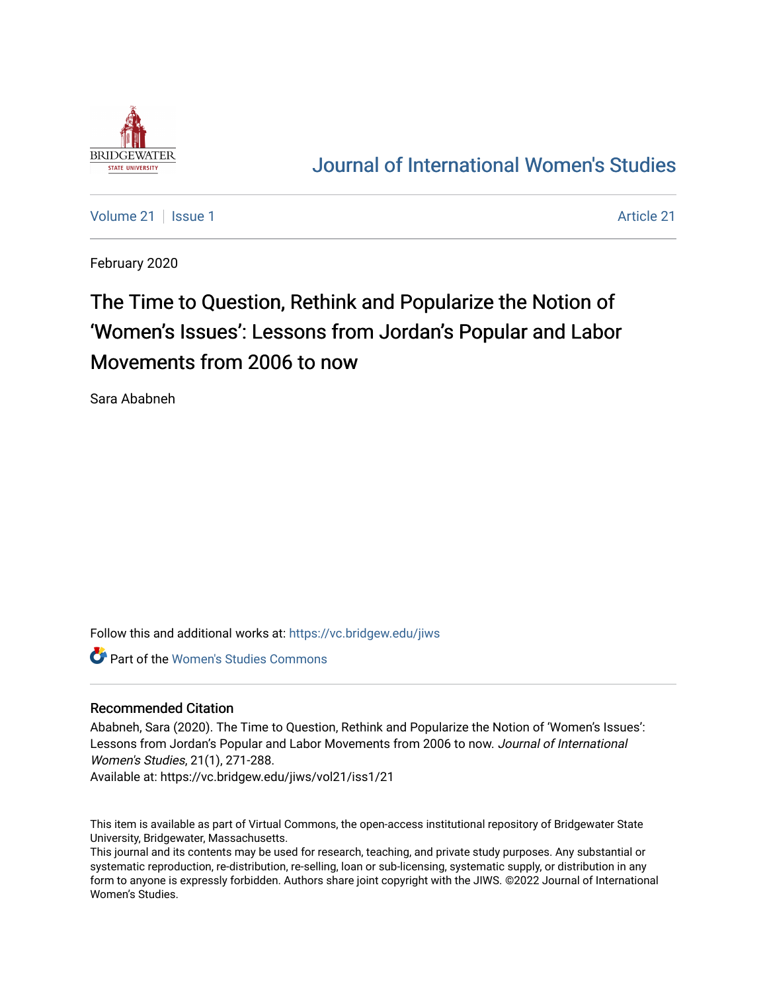

## [Journal of International Women's Studies](https://vc.bridgew.edu/jiws)

[Volume 21](https://vc.bridgew.edu/jiws/vol21) | [Issue 1](https://vc.bridgew.edu/jiws/vol21/iss1) [Article 21](https://vc.bridgew.edu/jiws/vol21/iss1/21) | Article 21 | Article 21 | Article 21 | Article 21 | Article 21 | Article 21 |

February 2020

# The Time to Question, Rethink and Popularize the Notion of 'Women's Issues': Lessons from Jordan's Popular and Labor Movements from 2006 to now

Sara Ababneh

Follow this and additional works at: [https://vc.bridgew.edu/jiws](https://vc.bridgew.edu/jiws?utm_source=vc.bridgew.edu%2Fjiws%2Fvol21%2Fiss1%2F21&utm_medium=PDF&utm_campaign=PDFCoverPages)

Part of the [Women's Studies Commons](http://network.bepress.com/hgg/discipline/561?utm_source=vc.bridgew.edu%2Fjiws%2Fvol21%2Fiss1%2F21&utm_medium=PDF&utm_campaign=PDFCoverPages) 

#### Recommended Citation

Ababneh, Sara (2020). The Time to Question, Rethink and Popularize the Notion of 'Women's Issues': Lessons from Jordan's Popular and Labor Movements from 2006 to now. Journal of International Women's Studies, 21(1), 271-288.

Available at: https://vc.bridgew.edu/jiws/vol21/iss1/21

This item is available as part of Virtual Commons, the open-access institutional repository of Bridgewater State University, Bridgewater, Massachusetts.

This journal and its contents may be used for research, teaching, and private study purposes. Any substantial or systematic reproduction, re-distribution, re-selling, loan or sub-licensing, systematic supply, or distribution in any form to anyone is expressly forbidden. Authors share joint copyright with the JIWS. ©2022 Journal of International Women's Studies.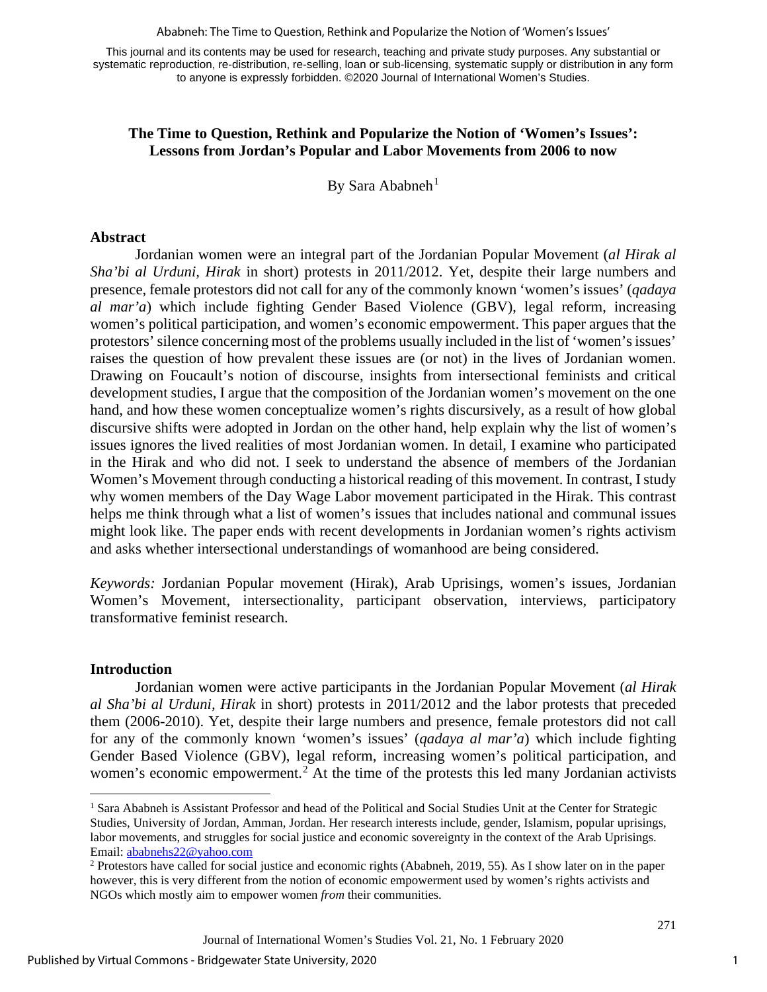Ababneh: The Time to Question, Rethink and Popularize the Notion of 'Women's Issues'

This journal and its contents may be used for research, teaching and private study purposes. Any substantial or systematic reproduction, re-distribution, re-selling, loan or sub-licensing, systematic supply or distribution in any form to anyone is expressly forbidden. ©2020 Journal of International Women's Studies.

## **The Time to Question, Rethink and Popularize the Notion of 'Women's Issues': Lessons from Jordan's Popular and Labor Movements from 2006 to now**

By Sara Ababneh $<sup>1</sup>$  $<sup>1</sup>$  $<sup>1</sup>$ </sup>

#### **Abstract**

Jordanian women were an integral part of the Jordanian Popular Movement (*al Hirak al Sha'bi al Urduni, Hirak* in short) protests in 2011/2012. Yet, despite their large numbers and presence, female protestors did not call for any of the commonly known 'women's issues' (*qadaya al mar'a*) which include fighting Gender Based Violence (GBV), legal reform, increasing women's political participation, and women's economic empowerment. This paper argues that the protestors' silence concerning most of the problems usually included in the list of 'women's issues' raises the question of how prevalent these issues are (or not) in the lives of Jordanian women. Drawing on Foucault's notion of discourse, insights from intersectional feminists and critical development studies, I argue that the composition of the Jordanian women's movement on the one hand, and how these women conceptualize women's rights discursively, as a result of how global discursive shifts were adopted in Jordan on the other hand, help explain why the list of women's issues ignores the lived realities of most Jordanian women. In detail, I examine who participated in the Hirak and who did not. I seek to understand the absence of members of the Jordanian Women's Movement through conducting a historical reading of this movement. In contrast, I study why women members of the Day Wage Labor movement participated in the Hirak. This contrast helps me think through what a list of women's issues that includes national and communal issues might look like. The paper ends with recent developments in Jordanian women's rights activism and asks whether intersectional understandings of womanhood are being considered.

*Keywords:* Jordanian Popular movement (Hirak), Arab Uprisings, women's issues, Jordanian Women's Movement, intersectionality, participant observation, interviews, participatory transformative feminist research.

#### **Introduction**

Jordanian women were active participants in the Jordanian Popular Movement (*al Hirak al Sha'bi al Urduni, Hirak* in short) protests in 2011/2012 and the labor protests that preceded them (2006-2010). Yet, despite their large numbers and presence, female protestors did not call for any of the commonly known 'women's issues' (*qadaya al mar'a*) which include fighting Gender Based Violence (GBV), legal reform, increasing women's political participation, and women's economic empowerment.<sup>[2](#page-1-1)</sup> At the time of the protests this led many Jordanian activists

<span id="page-1-0"></span><sup>&</sup>lt;sup>1</sup> Sara Ababneh is Assistant Professor and head of the Political and Social Studies Unit at the Center for Strategic Studies, University of Jordan, Amman, Jordan. Her research interests include, gender, Islamism, popular uprisings, labor movements, and struggles for social justice and economic sovereignty in the context of the Arab Uprisings. Email:  $\underline{abahehs22@yahoo.com}$ <br><sup>2</sup> Protestors have called for social justice and economic rights (Ababneh, 2019, 55). As I show later on in the paper

<span id="page-1-1"></span>however, this is very different from the notion of economic empowerment used by women's rights activists and NGOs which mostly aim to empower women *from* their communities.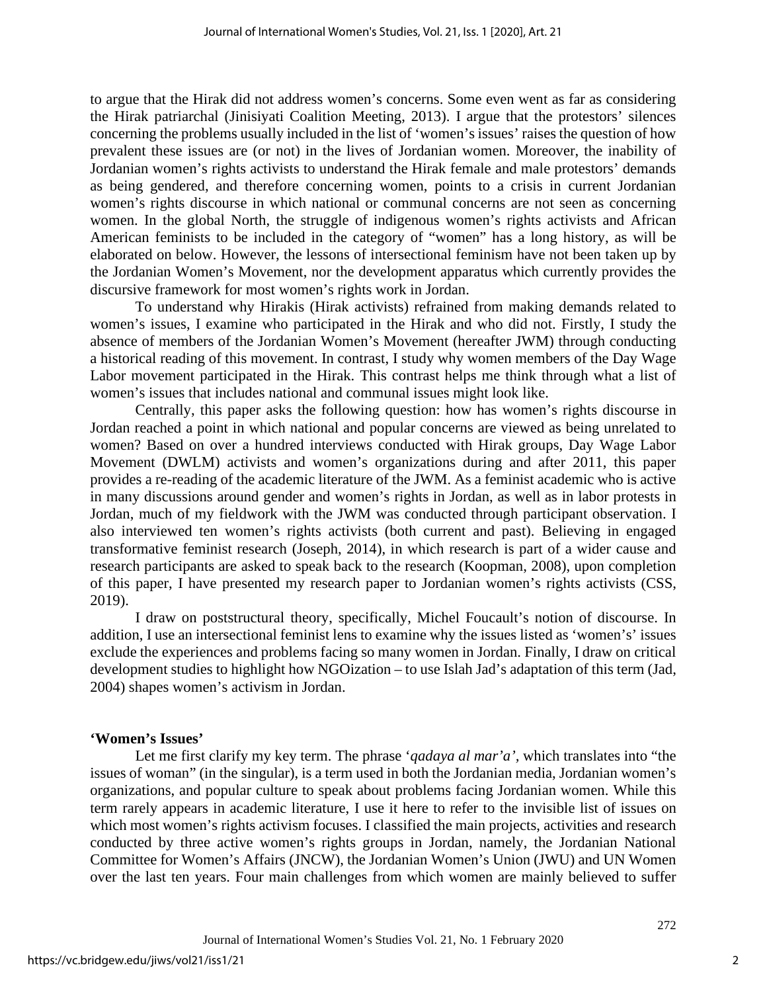to argue that the Hirak did not address women's concerns. Some even went as far as considering the Hirak patriarchal (Jinisiyati Coalition Meeting, 2013). I argue that the protestors' silences concerning the problems usually included in the list of 'women's issues' raises the question of how prevalent these issues are (or not) in the lives of Jordanian women. Moreover, the inability of Jordanian women's rights activists to understand the Hirak female and male protestors' demands as being gendered, and therefore concerning women, points to a crisis in current Jordanian women's rights discourse in which national or communal concerns are not seen as concerning women. In the global North, the struggle of indigenous women's rights activists and African American feminists to be included in the category of "women" has a long history, as will be elaborated on below. However, the lessons of intersectional feminism have not been taken up by the Jordanian Women's Movement, nor the development apparatus which currently provides the discursive framework for most women's rights work in Jordan.

To understand why Hirakis (Hirak activists) refrained from making demands related to women's issues, I examine who participated in the Hirak and who did not. Firstly, I study the absence of members of the Jordanian Women's Movement (hereafter JWM) through conducting a historical reading of this movement. In contrast, I study why women members of the Day Wage Labor movement participated in the Hirak. This contrast helps me think through what a list of women's issues that includes national and communal issues might look like.

Centrally, this paper asks the following question: how has women's rights discourse in Jordan reached a point in which national and popular concerns are viewed as being unrelated to women? Based on over a hundred interviews conducted with Hirak groups, Day Wage Labor Movement (DWLM) activists and women's organizations during and after 2011, this paper provides a re-reading of the academic literature of the JWM. As a feminist academic who is active in many discussions around gender and women's rights in Jordan, as well as in labor protests in Jordan, much of my fieldwork with the JWM was conducted through participant observation. I also interviewed ten women's rights activists (both current and past). Believing in engaged transformative feminist research (Joseph, 2014), in which research is part of a wider cause and research participants are asked to speak back to the research (Koopman, 2008), upon completion of this paper, I have presented my research paper to Jordanian women's rights activists (CSS, 2019).

I draw on poststructural theory, specifically, Michel Foucault's notion of discourse. In addition, I use an intersectional feminist lens to examine why the issues listed as 'women's' issues exclude the experiences and problems facing so many women in Jordan. Finally, I draw on critical development studies to highlight how NGOization – to use Islah Jad's adaptation of this term (Jad, 2004) shapes women's activism in Jordan.

## **'Women's Issues'**

Let me first clarify my key term. The phrase '*qadaya al mar'a',* which translates into "the issues of woman" (in the singular), is a term used in both the Jordanian media, Jordanian women's organizations, and popular culture to speak about problems facing Jordanian women. While this term rarely appears in academic literature, I use it here to refer to the invisible list of issues on which most women's rights activism focuses. I classified the main projects, activities and research conducted by three active women's rights groups in Jordan, namely, the Jordanian National Committee for Women's Affairs (JNCW), the Jordanian Women's Union (JWU) and UN Women over the last ten years. Four main challenges from which women are mainly believed to suffer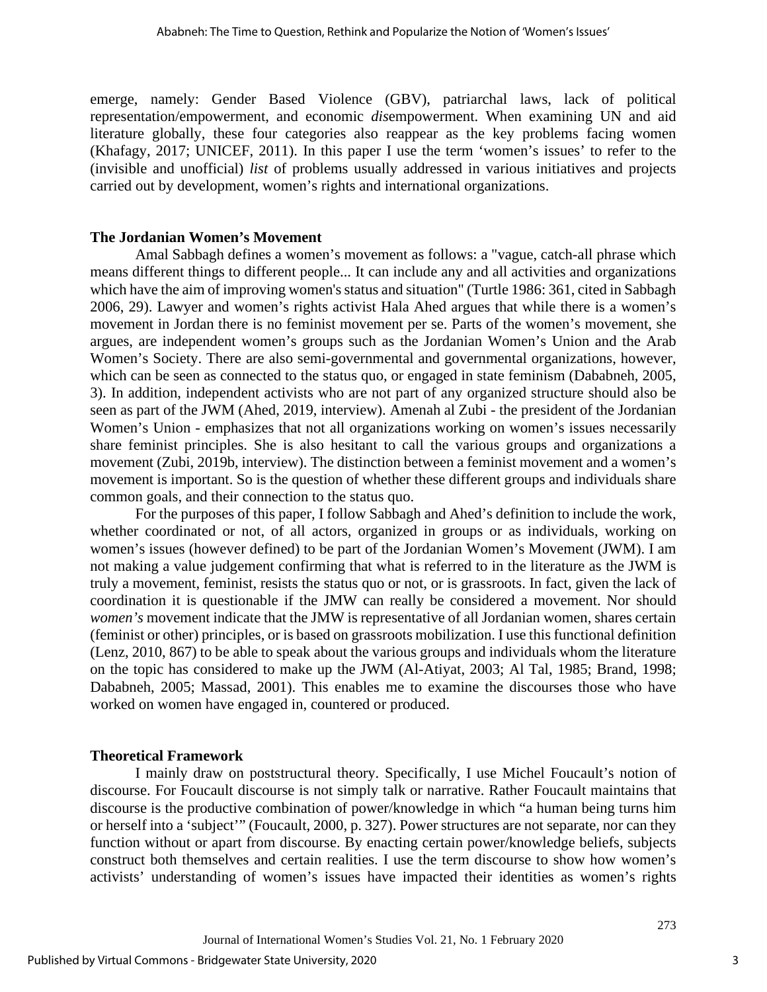emerge, namely: Gender Based Violence (GBV), patriarchal laws, lack of political representation/empowerment, and economic *dis*empowerment. When examining UN and aid literature globally, these four categories also reappear as the key problems facing women (Khafagy, 2017; UNICEF, 2011). In this paper I use the term 'women's issues' to refer to the (invisible and unofficial) *list* of problems usually addressed in various initiatives and projects carried out by development, women's rights and international organizations.

#### **The Jordanian Women's Movement**

Amal Sabbagh defines a women's movement as follows: a "vague, catch-all phrase which means different things to different people... It can include any and all activities and organizations which have the aim of improving women's status and situation" (Turtle 1986: 361, cited in Sabbagh 2006, 29). Lawyer and women's rights activist Hala Ahed argues that while there is a women's movement in Jordan there is no feminist movement per se. Parts of the women's movement, she argues, are independent women's groups such as the Jordanian Women's Union and the Arab Women's Society. There are also semi-governmental and governmental organizations, however, which can be seen as connected to the status quo, or engaged in state feminism (Dababneh, 2005, 3). In addition, independent activists who are not part of any organized structure should also be seen as part of the JWM (Ahed, 2019, interview). Amenah al Zubi - the president of the Jordanian Women's Union - emphasizes that not all organizations working on women's issues necessarily share feminist principles. She is also hesitant to call the various groups and organizations a movement (Zubi, 2019b, interview). The distinction between a feminist movement and a women's movement is important. So is the question of whether these different groups and individuals share common goals, and their connection to the status quo.

For the purposes of this paper, I follow Sabbagh and Ahed's definition to include the work, whether coordinated or not, of all actors, organized in groups or as individuals, working on women's issues (however defined) to be part of the Jordanian Women's Movement (JWM). I am not making a value judgement confirming that what is referred to in the literature as the JWM is truly a movement, feminist, resists the status quo or not, or is grassroots. In fact, given the lack of coordination it is questionable if the JMW can really be considered a movement. Nor should *women's* movement indicate that the JMW is representative of all Jordanian women, shares certain (feminist or other) principles, or is based on grassroots mobilization. I use this functional definition (Lenz, 2010, 867) to be able to speak about the various groups and individuals whom the literature on the topic has considered to make up the JWM (Al-Atiyat, 2003; Al Tal, 1985; Brand, 1998; Dababneh, 2005; Massad, 2001). This enables me to examine the discourses those who have worked on women have engaged in, countered or produced.

#### **Theoretical Framework**

I mainly draw on poststructural theory. Specifically, I use Michel Foucault's notion of discourse. For Foucault discourse is not simply talk or narrative. Rather Foucault maintains that discourse is the productive combination of power/knowledge in which "a human being turns him or herself into a 'subject'" (Foucault, 2000, p. 327). Power structures are not separate, nor can they function without or apart from discourse. By enacting certain power/knowledge beliefs, subjects construct both themselves and certain realities. I use the term discourse to show how women's activists' understanding of women's issues have impacted their identities as women's rights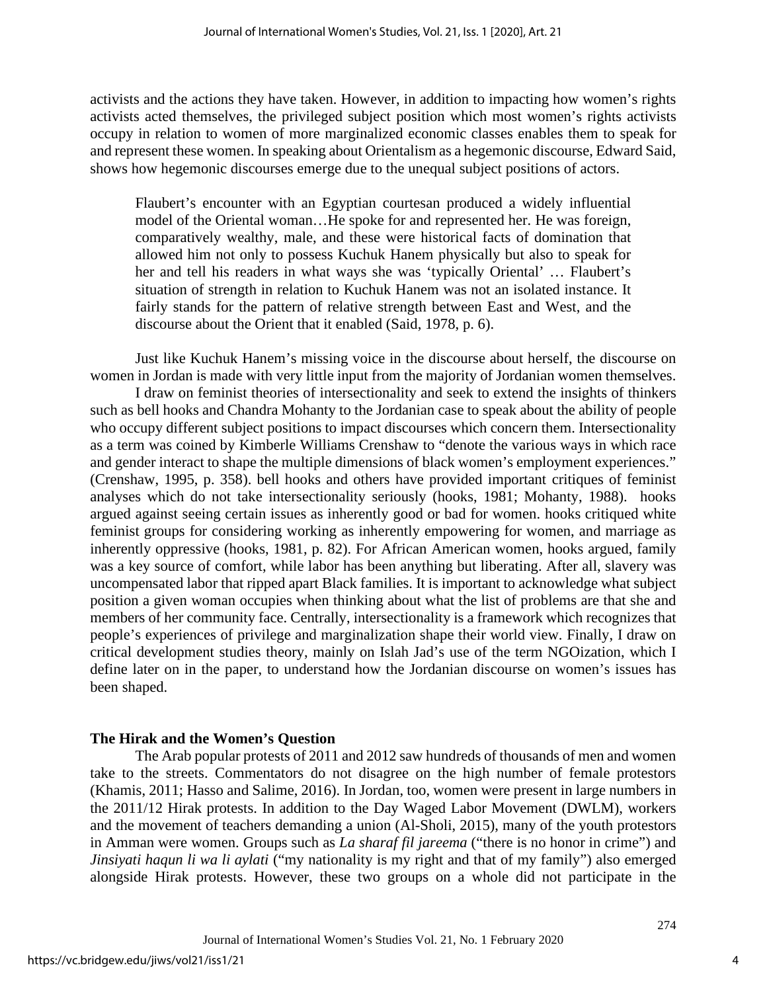activists and the actions they have taken. However, in addition to impacting how women's rights activists acted themselves, the privileged subject position which most women's rights activists occupy in relation to women of more marginalized economic classes enables them to speak for and represent these women. In speaking about Orientalism as a hegemonic discourse, Edward Said, shows how hegemonic discourses emerge due to the unequal subject positions of actors.

Flaubert's encounter with an Egyptian courtesan produced a widely influential model of the Oriental woman…He spoke for and represented her. He was foreign, comparatively wealthy, male, and these were historical facts of domination that allowed him not only to possess Kuchuk Hanem physically but also to speak for her and tell his readers in what ways she was 'typically Oriental' … Flaubert's situation of strength in relation to Kuchuk Hanem was not an isolated instance. It fairly stands for the pattern of relative strength between East and West, and the discourse about the Orient that it enabled (Said, 1978, p. 6).

Just like Kuchuk Hanem's missing voice in the discourse about herself, the discourse on women in Jordan is made with very little input from the majority of Jordanian women themselves.

I draw on feminist theories of intersectionality and seek to extend the insights of thinkers such as bell hooks and Chandra Mohanty to the Jordanian case to speak about the ability of people who occupy different subject positions to impact discourses which concern them. Intersectionality as a term was coined by Kimberle Williams Crenshaw to "denote the various ways in which race and gender interact to shape the multiple dimensions of black women's employment experiences." (Crenshaw, 1995, p. 358). bell hooks and others have provided important critiques of feminist analyses which do not take intersectionality seriously (hooks, 1981; Mohanty, 1988). hooks argued against seeing certain issues as inherently good or bad for women. hooks critiqued white feminist groups for considering working as inherently empowering for women, and marriage as inherently oppressive (hooks, 1981, p. 82). For African American women, hooks argued, family was a key source of comfort, while labor has been anything but liberating. After all, slavery was uncompensated labor that ripped apart Black families. It is important to acknowledge what subject position a given woman occupies when thinking about what the list of problems are that she and members of her community face. Centrally, intersectionality is a framework which recognizes that people's experiences of privilege and marginalization shape their world view. Finally, I draw on critical development studies theory, mainly on Islah Jad's use of the term NGOization, which I define later on in the paper, to understand how the Jordanian discourse on women's issues has been shaped.

## **The Hirak and the Women's Question**

The Arab popular protests of 2011 and 2012 saw hundreds of thousands of men and women take to the streets. Commentators do not disagree on the high number of female protestors (Khamis, 2011; Hasso and Salime, 2016). In Jordan, too, women were present in large numbers in the 2011/12 Hirak protests. In addition to the Day Waged Labor Movement (DWLM), workers and the movement of teachers demanding a union (Al-Sholi, 2015), many of the youth protestors in Amman were women. Groups such as *La sharaf fil jareema* ("there is no honor in crime") and *Jinsiyati haqun li wa li aylati* ("my nationality is my right and that of my family") also emerged alongside Hirak protests. However, these two groups on a whole did not participate in the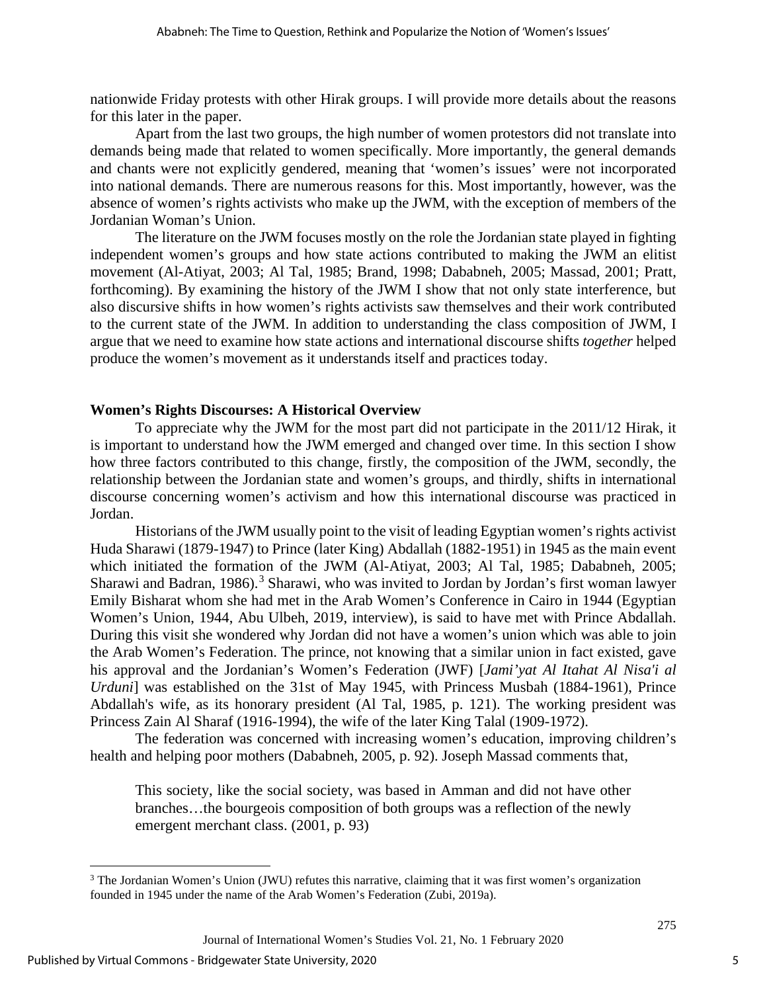nationwide Friday protests with other Hirak groups. I will provide more details about the reasons for this later in the paper.

Apart from the last two groups, the high number of women protestors did not translate into demands being made that related to women specifically. More importantly, the general demands and chants were not explicitly gendered, meaning that 'women's issues' were not incorporated into national demands. There are numerous reasons for this. Most importantly, however, was the absence of women's rights activists who make up the JWM, with the exception of members of the Jordanian Woman's Union.

The literature on the JWM focuses mostly on the role the Jordanian state played in fighting independent women's groups and how state actions contributed to making the JWM an elitist movement (Al-Atiyat, 2003; Al Tal, 1985; Brand, 1998; Dababneh, 2005; Massad, 2001; Pratt, forthcoming). By examining the history of the JWM I show that not only state interference, but also discursive shifts in how women's rights activists saw themselves and their work contributed to the current state of the JWM. In addition to understanding the class composition of JWM, I argue that we need to examine how state actions and international discourse shifts *together* helped produce the women's movement as it understands itself and practices today.

## **Women's Rights Discourses: A Historical Overview**

To appreciate why the JWM for the most part did not participate in the 2011/12 Hirak, it is important to understand how the JWM emerged and changed over time. In this section I show how three factors contributed to this change, firstly, the composition of the JWM, secondly, the relationship between the Jordanian state and women's groups, and thirdly, shifts in international discourse concerning women's activism and how this international discourse was practiced in Jordan.

Historians of the JWM usually point to the visit of leading Egyptian women's rights activist Huda Sharawi (1879-1947) to Prince (later King) Abdallah (1882-1951) in 1945 as the main event which initiated the formation of the JWM (Al-Atiyat, 2003; Al Tal, 1985; Dababneh, 2005; Sharawi and Badran, 1986).<sup>[3](#page-5-0)</sup> Sharawi, who was invited to Jordan by Jordan's first woman lawyer Emily Bisharat whom she had met in the Arab Women's Conference in Cairo in 1944 (Egyptian Women's Union, 1944, Abu Ulbeh, 2019, interview), is said to have met with Prince Abdallah. During this visit she wondered why Jordan did not have a women's union which was able to join the Arab Women's Federation. The prince, not knowing that a similar union in fact existed, gave his approval and the Jordanian's Women's Federation (JWF) [*Jami'yat Al Itahat Al Nisa'i al Urduni*] was established on the 31st of May 1945, with Princess Musbah (1884-1961), Prince Abdallah's wife, as its honorary president (Al Tal, 1985, p. 121). The working president was Princess Zain Al Sharaf (1916-1994), the wife of the later King Talal (1909-1972).

The federation was concerned with increasing women's education, improving children's health and helping poor mothers (Dababneh, 2005, p. 92). Joseph Massad comments that,

This society, like the social society, was based in Amman and did not have other branches…the bourgeois composition of both groups was a reflection of the newly emergent merchant class. (2001, p. 93)

<span id="page-5-0"></span><sup>&</sup>lt;sup>3</sup> The Jordanian Women's Union (JWU) refutes this narrative, claiming that it was first women's organization founded in 1945 under the name of the Arab Women's Federation (Zubi, 2019a).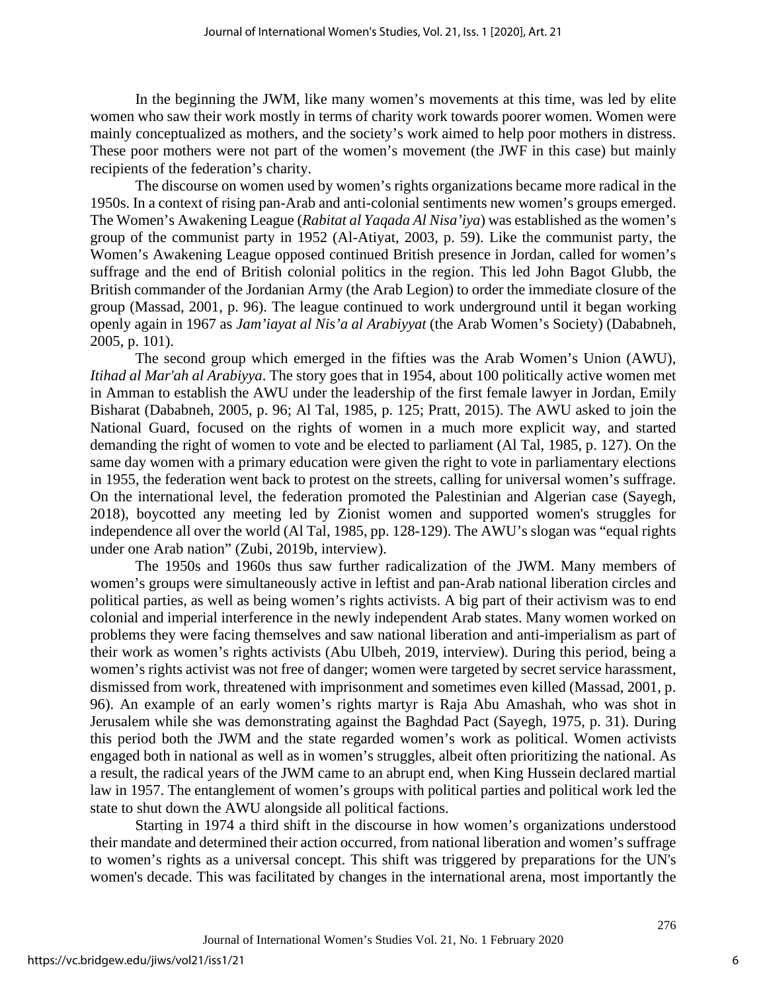In the beginning the JWM, like many women's movements at this time, was led by elite women who saw their work mostly in terms of charity work towards poorer women. Women were mainly conceptualized as mothers, and the society's work aimed to help poor mothers in distress. These poor mothers were not part of the women's movement (the JWF in this case) but mainly recipients of the federation's charity.

The discourse on women used by women's rights organizations became more radical in the 1950s. In a context of rising pan-Arab and anti-colonial sentiments new women's groups emerged. The Women's Awakening League (*Rabitat al Yaqada Al Nisa'iya*) was established as the women's group of the communist party in 1952 (Al-Atiyat, 2003, p. 59). Like the communist party, the Women's Awakening League opposed continued British presence in Jordan, called for women's suffrage and the end of British colonial politics in the region. This led John Bagot Glubb, the British commander of the Jordanian Army (the Arab Legion) to order the immediate closure of the group (Massad, 2001, p. 96). The league continued to work underground until it began working openly again in 1967 as *Jam'iayat al Nis'a al Arabiyyat* (the Arab Women's Society) (Dababneh, 2005, p. 101).

The second group which emerged in the fifties was the Arab Women's Union (AWU), *Itihad al Mar'ah al Arabiyya*. The story goes that in 1954, about 100 politically active women met in Amman to establish the AWU under the leadership of the first female lawyer in Jordan, Emily Bisharat (Dababneh, 2005, p. 96; Al Tal, 1985, p. 125; Pratt, 2015). The AWU asked to join the National Guard, focused on the rights of women in a much more explicit way, and started demanding the right of women to vote and be elected to parliament (Al Tal, 1985, p. 127). On the same day women with a primary education were given the right to vote in parliamentary elections in 1955, the federation went back to protest on the streets, calling for universal women's suffrage. On the international level, the federation promoted the Palestinian and Algerian case (Sayegh, 2018), boycotted any meeting led by Zionist women and supported women's struggles for independence all over the world (Al Tal, 1985, pp. 128-129). The AWU's slogan was "equal rights under one Arab nation" (Zubi, 2019b, interview).

The 1950s and 1960s thus saw further radicalization of the JWM. Many members of women's groups were simultaneously active in leftist and pan-Arab national liberation circles and political parties, as well as being women's rights activists. A big part of their activism was to end colonial and imperial interference in the newly independent Arab states. Many women worked on problems they were facing themselves and saw national liberation and anti-imperialism as part of their work as women's rights activists (Abu Ulbeh, 2019, interview). During this period, being a women's rights activist was not free of danger; women were targeted by secret service harassment, dismissed from work, threatened with imprisonment and sometimes even killed (Massad, 2001, p. 96). An example of an early women's rights martyr is Raja Abu Amashah, who was shot in Jerusalem while she was demonstrating against the Baghdad Pact (Sayegh, 1975, p. 31). During this period both the JWM and the state regarded women's work as political. Women activists engaged both in national as well as in women's struggles, albeit often prioritizing the national. As a result, the radical years of the JWM came to an abrupt end, when King Hussein declared martial law in 1957. The entanglement of women's groups with political parties and political work led the state to shut down the AWU alongside all political factions.

Starting in 1974 a third shift in the discourse in how women's organizations understood their mandate and determined their action occurred, from national liberation and women's suffrage to women's rights as a universal concept. This shift was triggered by preparations for the UN's women's decade. This was facilitated by changes in the international arena, most importantly the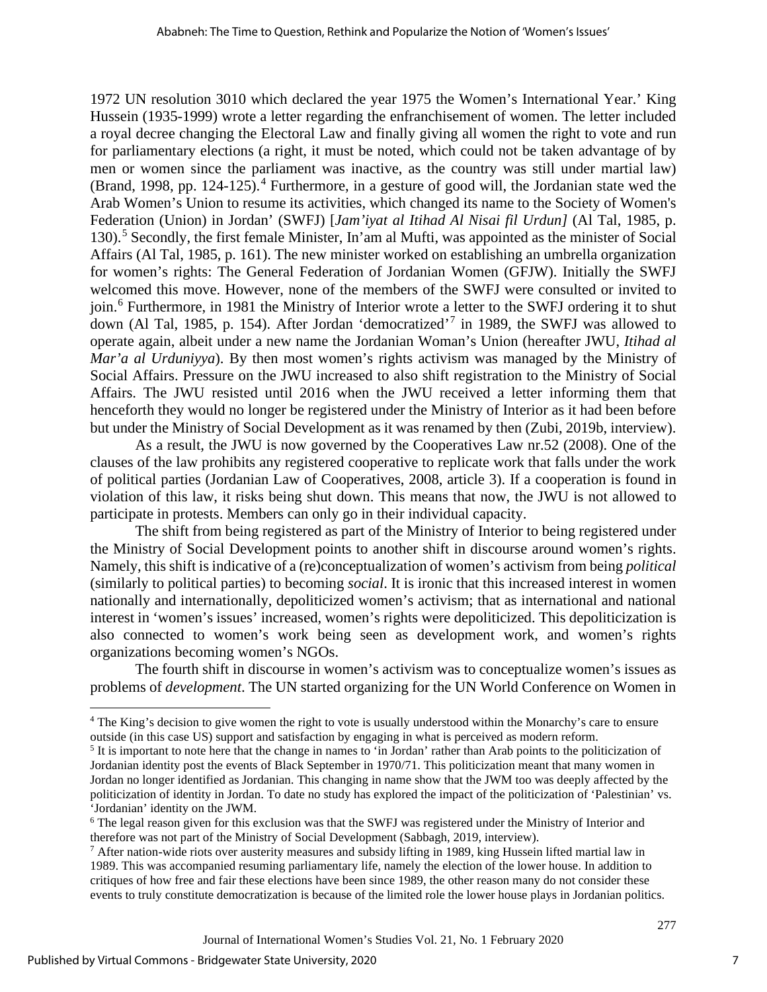1972 UN resolution 3010 which declared the year 1975 the Women's International Year.' King Hussein (1935-1999) wrote a letter regarding the enfranchisement of women. The letter included a royal decree changing the Electoral Law and finally giving all women the right to vote and run for parliamentary elections (a right, it must be noted, which could not be taken advantage of by men or women since the parliament was inactive, as the country was still under martial law) (Brand, 1998, pp. 12[4](#page-7-0)-125).<sup>4</sup> Furthermore, in a gesture of good will, the Jordanian state wed the Arab Women's Union to resume its activities, which changed its name to the Society of Women's Federation (Union) in Jordan' (SWFJ) [*Jam'iyat al Itihad Al Nisai fil Urdun]* (Al Tal, 1985, p. 130).[5](#page-7-1) Secondly, the first female Minister, In'am al Mufti, was appointed as the minister of Social Affairs (Al Tal, 1985, p. 161). The new minister worked on establishing an umbrella organization for women's rights: The General Federation of Jordanian Women (GFJW). Initially the SWFJ welcomed this move. However, none of the members of the SWFJ were consulted or invited to join.[6](#page-7-2) Furthermore, in 1981 the Ministry of Interior wrote a letter to the SWFJ ordering it to shut down (Al Tal, 1985, p. 154). After Jordan 'democratized'[7](#page-7-3) in 1989, the SWFJ was allowed to operate again, albeit under a new name the Jordanian Woman's Union (hereafter JWU, *Itihad al Mar'a al Urduniyya*). By then most women's rights activism was managed by the Ministry of Social Affairs. Pressure on the JWU increased to also shift registration to the Ministry of Social Affairs. The JWU resisted until 2016 when the JWU received a letter informing them that henceforth they would no longer be registered under the Ministry of Interior as it had been before but under the Ministry of Social Development as it was renamed by then (Zubi, 2019b, interview).

As a result, the JWU is now governed by the Cooperatives Law nr.52 (2008). One of the clauses of the law prohibits any registered cooperative to replicate work that falls under the work of political parties (Jordanian Law of Cooperatives, 2008, article 3). If a cooperation is found in violation of this law, it risks being shut down. This means that now, the JWU is not allowed to participate in protests. Members can only go in their individual capacity.

The shift from being registered as part of the Ministry of Interior to being registered under the Ministry of Social Development points to another shift in discourse around women's rights. Namely, this shift is indicative of a (re)conceptualization of women's activism from being *political* (similarly to political parties) to becoming *social*. It is ironic that this increased interest in women nationally and internationally, depoliticized women's activism; that as international and national interest in 'women's issues' increased, women's rights were depoliticized. This depoliticization is also connected to women's work being seen as development work, and women's rights organizations becoming women's NGOs.

The fourth shift in discourse in women's activism was to conceptualize women's issues as problems of *development*. The UN started organizing for the UN World Conference on Women in

<span id="page-7-0"></span><sup>4</sup> The King's decision to give women the right to vote is usually understood within the Monarchy's care to ensure outside (in this case US) support and satisfaction by engaging in what is perceived as modern reform.

<span id="page-7-1"></span> $<sup>5</sup>$  It is important to note here that the change in names to 'in Jordan' rather than Arab points to the politicization of</sup> Jordanian identity post the events of Black September in 1970/71. This politicization meant that many women in Jordan no longer identified as Jordanian. This changing in name show that the JWM too was deeply affected by the politicization of identity in Jordan. To date no study has explored the impact of the politicization of 'Palestinian' vs. 'Jordanian' identity on the JWM.

<span id="page-7-2"></span><sup>&</sup>lt;sup>6</sup> The legal reason given for this exclusion was that the SWFJ was registered under the Ministry of Interior and therefore was not part of the Ministry of Social Development (Sabbagh, 2019, interview).

<span id="page-7-3"></span> $7$  After nation-wide riots over austerity measures and subsidy lifting in 1989, king Hussein lifted martial law in 1989. This was accompanied resuming parliamentary life, namely the election of the lower house. In addition to critiques of how free and fair these elections have been since 1989, the other reason many do not consider these events to truly constitute democratization is because of the limited role the lower house plays in Jordanian politics.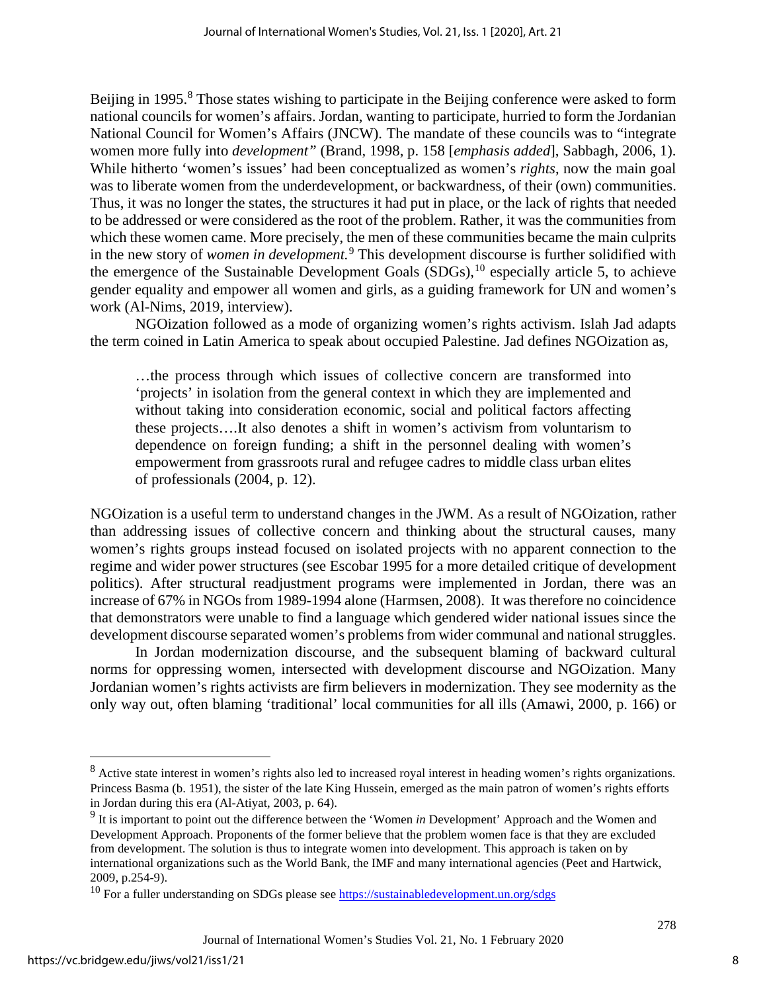Beijing in 1995.<sup>[8](#page-8-0)</sup> Those states wishing to participate in the Beijing conference were asked to form national councils for women's affairs. Jordan, wanting to participate, hurried to form the Jordanian National Council for Women's Affairs (JNCW). The mandate of these councils was to "integrate women more fully into *development"* (Brand, 1998, p. 158 [*emphasis added*], Sabbagh, 2006, 1). While hitherto 'women's issues' had been conceptualized as women's *rights*, now the main goal was to liberate women from the underdevelopment, or backwardness, of their (own) communities. Thus, it was no longer the states, the structures it had put in place, or the lack of rights that needed to be addressed or were considered as the root of the problem. Rather, it was the communities from which these women came. More precisely, the men of these communities became the main culprits in the new story of *women in development.*[9](#page-8-1) This development discourse is further solidified with the emergence of the Sustainable Development Goals  $(SDGs)$ , <sup>[10](#page-8-2)</sup> especially article 5, to achieve gender equality and empower all women and girls, as a guiding framework for UN and women's work (Al-Nims, 2019, interview).

NGOization followed as a mode of organizing women's rights activism. Islah Jad adapts the term coined in Latin America to speak about occupied Palestine. Jad defines NGOization as,

…the process through which issues of collective concern are transformed into 'projects' in isolation from the general context in which they are implemented and without taking into consideration economic, social and political factors affecting these projects….It also denotes a shift in women's activism from voluntarism to dependence on foreign funding; a shift in the personnel dealing with women's empowerment from grassroots rural and refugee cadres to middle class urban elites of professionals (2004, p. 12).

NGOization is a useful term to understand changes in the JWM. As a result of NGOization, rather than addressing issues of collective concern and thinking about the structural causes, many women's rights groups instead focused on isolated projects with no apparent connection to the regime and wider power structures (see Escobar 1995 for a more detailed critique of development politics). After structural readjustment programs were implemented in Jordan, there was an increase of 67% in NGOs from 1989-1994 alone (Harmsen, 2008). It was therefore no coincidence that demonstrators were unable to find a language which gendered wider national issues since the development discourse separated women's problems from wider communal and national struggles.

In Jordan modernization discourse, and the subsequent blaming of backward cultural norms for oppressing women, intersected with development discourse and NGOization. Many Jordanian women's rights activists are firm believers in modernization. They see modernity as the only way out, often blaming 'traditional' local communities for all ills (Amawi, 2000, p. 166) or

<span id="page-8-0"></span><sup>&</sup>lt;sup>8</sup> Active state interest in women's rights also led to increased royal interest in heading women's rights organizations. Princess Basma (b. 1951), the sister of the late King Hussein, emerged as the main patron of women's rights efforts in Jordan during this era (Al-Atiyat, 2003, p. 64).

<span id="page-8-1"></span><sup>9</sup> It is important to point out the difference between the 'Women *in* Development' Approach and the Women and Development Approach. Proponents of the former believe that the problem women face is that they are excluded from development. The solution is thus to integrate women into development. This approach is taken on by international organizations such as the World Bank, the IMF and many international agencies (Peet and Hartwick,

<span id="page-8-2"></span><sup>2009,</sup> p.254-9).<br><sup>10</sup> For a fuller understanding on SDGs please see **https://sustainabledevelopment.un.org/sdgs**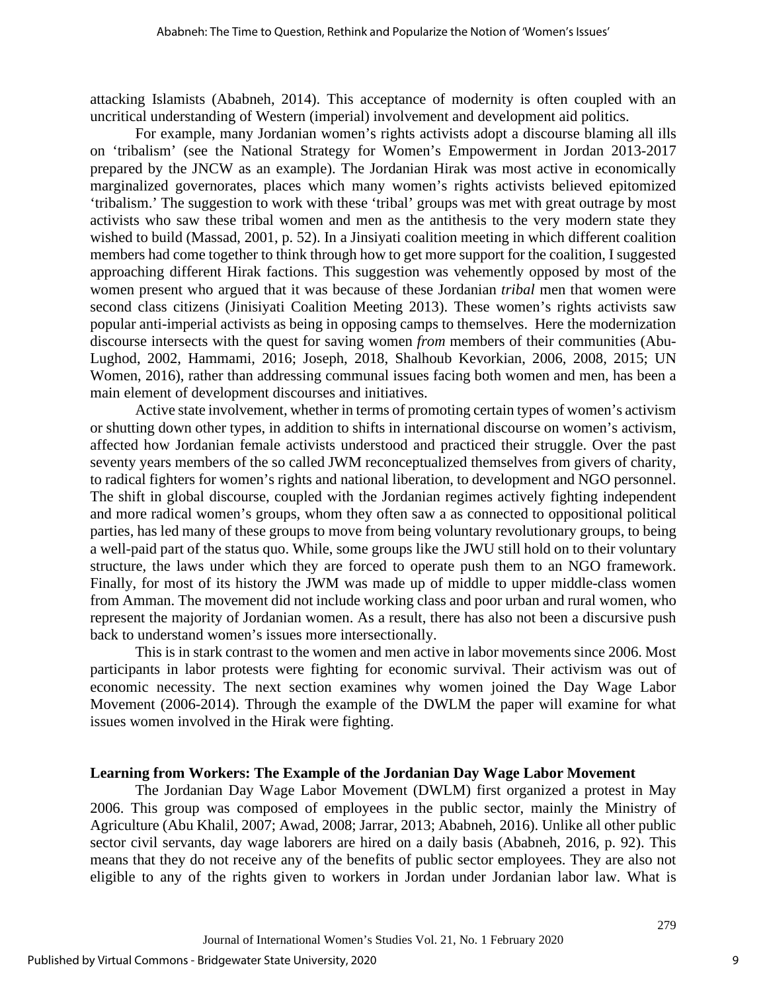attacking Islamists (Ababneh, 2014). This acceptance of modernity is often coupled with an uncritical understanding of Western (imperial) involvement and development aid politics.

For example, many Jordanian women's rights activists adopt a discourse blaming all ills on 'tribalism' (see the National Strategy for Women's Empowerment in Jordan 2013-2017 prepared by the JNCW as an example). The Jordanian Hirak was most active in economically marginalized governorates, places which many women's rights activists believed epitomized 'tribalism.' The suggestion to work with these 'tribal' groups was met with great outrage by most activists who saw these tribal women and men as the antithesis to the very modern state they wished to build (Massad, 2001, p. 52). In a Jinsiyati coalition meeting in which different coalition members had come together to think through how to get more support for the coalition, I suggested approaching different Hirak factions. This suggestion was vehemently opposed by most of the women present who argued that it was because of these Jordanian *tribal* men that women were second class citizens (Jinisiyati Coalition Meeting 2013). These women's rights activists saw popular anti-imperial activists as being in opposing camps to themselves. Here the modernization discourse intersects with the quest for saving women *from* members of their communities (Abu-Lughod, 2002, Hammami, 2016; Joseph, 2018, Shalhoub Kevorkian, 2006, 2008, 2015; UN Women, 2016), rather than addressing communal issues facing both women and men, has been a main element of development discourses and initiatives.

Active state involvement, whether in terms of promoting certain types of women's activism or shutting down other types, in addition to shifts in international discourse on women's activism, affected how Jordanian female activists understood and practiced their struggle. Over the past seventy years members of the so called JWM reconceptualized themselves from givers of charity, to radical fighters for women's rights and national liberation, to development and NGO personnel. The shift in global discourse, coupled with the Jordanian regimes actively fighting independent and more radical women's groups, whom they often saw a as connected to oppositional political parties, has led many of these groups to move from being voluntary revolutionary groups, to being a well-paid part of the status quo. While, some groups like the JWU still hold on to their voluntary structure, the laws under which they are forced to operate push them to an NGO framework. Finally, for most of its history the JWM was made up of middle to upper middle-class women from Amman. The movement did not include working class and poor urban and rural women, who represent the majority of Jordanian women. As a result, there has also not been a discursive push back to understand women's issues more intersectionally.

This is in stark contrast to the women and men active in labor movements since 2006. Most participants in labor protests were fighting for economic survival. Their activism was out of economic necessity. The next section examines why women joined the Day Wage Labor Movement (2006-2014). Through the example of the DWLM the paper will examine for what issues women involved in the Hirak were fighting.

#### **Learning from Workers: The Example of the Jordanian Day Wage Labor Movement**

The Jordanian Day Wage Labor Movement (DWLM) first organized a protest in May 2006. This group was composed of employees in the public sector, mainly the Ministry of Agriculture (Abu Khalil, 2007; Awad, 2008; Jarrar, 2013; Ababneh, 2016). Unlike all other public sector civil servants, day wage laborers are hired on a daily basis (Ababneh, 2016, p. 92). This means that they do not receive any of the benefits of public sector employees. They are also not eligible to any of the rights given to workers in Jordan under Jordanian labor law. What is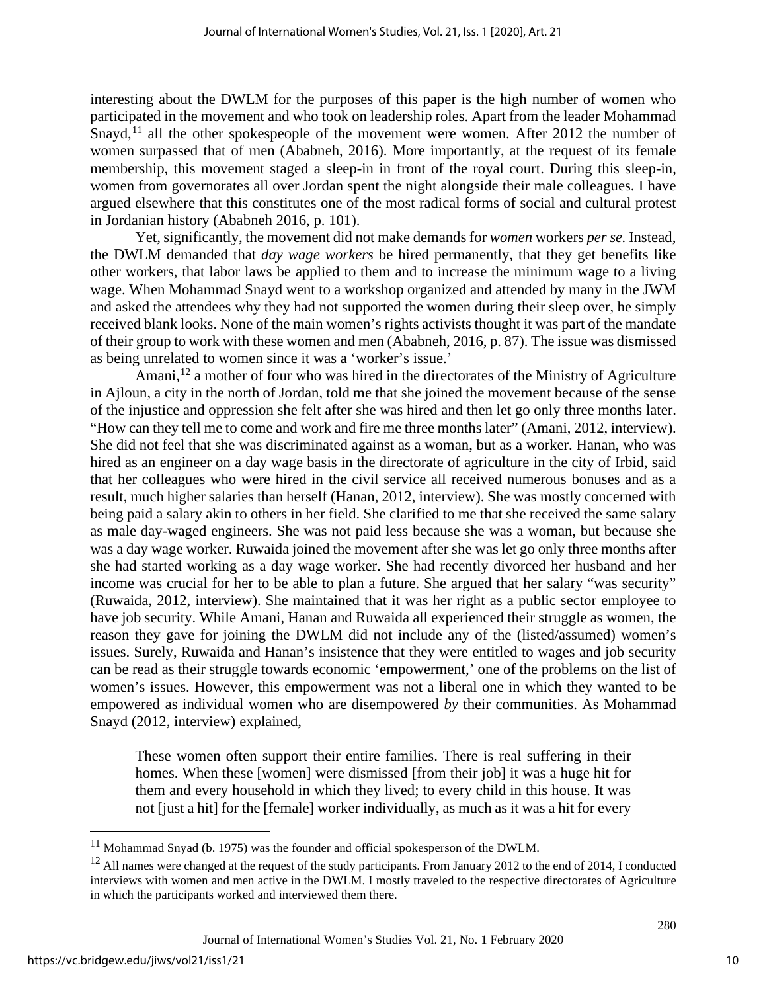interesting about the DWLM for the purposes of this paper is the high number of women who participated in the movement and who took on leadership roles. Apart from the leader Mohammad Snayd,<sup>[11](#page-10-0)</sup> all the other spokespeople of the movement were women. After 2012 the number of women surpassed that of men (Ababneh, 2016). More importantly, at the request of its female membership, this movement staged a sleep-in in front of the royal court. During this sleep-in, women from governorates all over Jordan spent the night alongside their male colleagues. I have argued elsewhere that this constitutes one of the most radical forms of social and cultural protest in Jordanian history (Ababneh 2016, p. 101).

Yet, significantly, the movement did not make demands for *women* workers *per se.* Instead, the DWLM demanded that *day wage workers* be hired permanently, that they get benefits like other workers, that labor laws be applied to them and to increase the minimum wage to a living wage. When Mohammad Snayd went to a workshop organized and attended by many in the JWM and asked the attendees why they had not supported the women during their sleep over, he simply received blank looks. None of the main women's rights activists thought it was part of the mandate of their group to work with these women and men (Ababneh, 2016, p. 87). The issue was dismissed as being unrelated to women since it was a 'worker's issue.'

Amani,<sup>[12](#page-10-1)</sup> a mother of four who was hired in the directorates of the Ministry of Agriculture in Ajloun, a city in the north of Jordan, told me that she joined the movement because of the sense of the injustice and oppression she felt after she was hired and then let go only three months later. "How can they tell me to come and work and fire me three months later" (Amani, 2012, interview). She did not feel that she was discriminated against as a woman, but as a worker. Hanan, who was hired as an engineer on a day wage basis in the directorate of agriculture in the city of Irbid, said that her colleagues who were hired in the civil service all received numerous bonuses and as a result, much higher salaries than herself (Hanan, 2012, interview). She was mostly concerned with being paid a salary akin to others in her field. She clarified to me that she received the same salary as male day-waged engineers. She was not paid less because she was a woman, but because she was a day wage worker. Ruwaida joined the movement after she was let go only three months after she had started working as a day wage worker. She had recently divorced her husband and her income was crucial for her to be able to plan a future. She argued that her salary "was security" (Ruwaida, 2012, interview). She maintained that it was her right as a public sector employee to have job security. While Amani, Hanan and Ruwaida all experienced their struggle as women, the reason they gave for joining the DWLM did not include any of the (listed/assumed) women's issues. Surely, Ruwaida and Hanan's insistence that they were entitled to wages and job security can be read as their struggle towards economic 'empowerment,' one of the problems on the list of women's issues. However, this empowerment was not a liberal one in which they wanted to be empowered as individual women who are disempowered *by* their communities. As Mohammad Snayd (2012, interview) explained,

These women often support their entire families. There is real suffering in their homes. When these [women] were dismissed [from their job] it was a huge hit for them and every household in which they lived; to every child in this house. It was not [just a hit] for the [female] worker individually, as much as it was a hit for every

<span id="page-10-0"></span> $11$  Mohammad Snyad (b. 1975) was the founder and official spokesperson of the DWLM.

<span id="page-10-1"></span> $12$  All names were changed at the request of the study participants. From January 2012 to the end of 2014, I conducted interviews with women and men active in the DWLM. I mostly traveled to the respective directorates of Agriculture in which the participants worked and interviewed them there.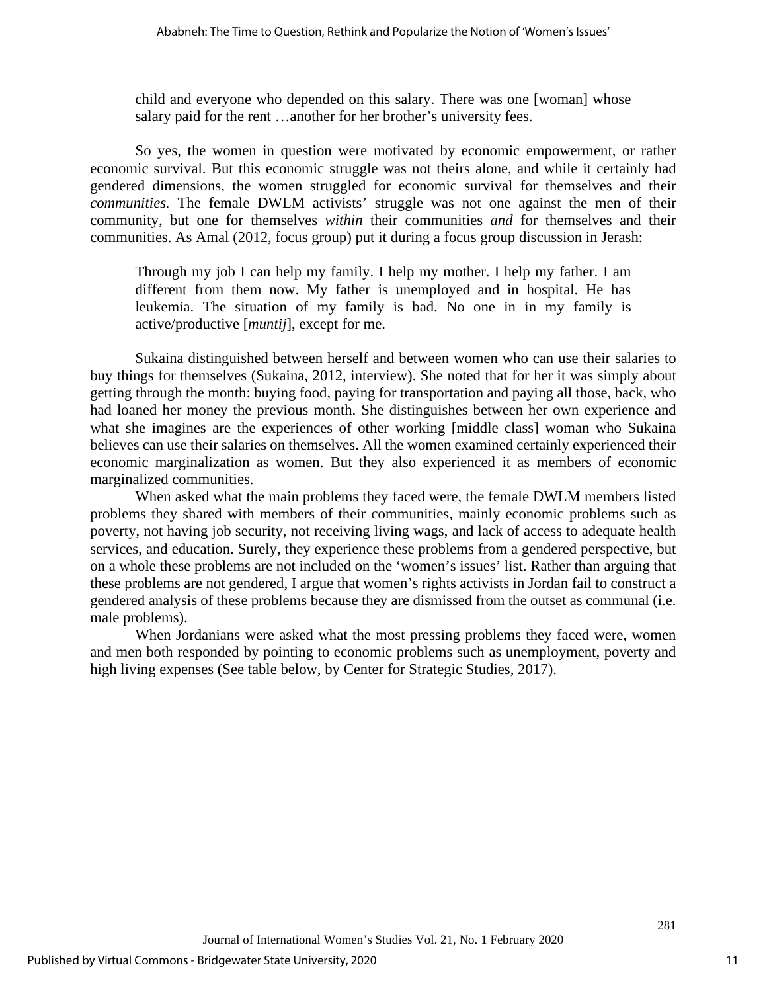child and everyone who depended on this salary. There was one [woman] whose salary paid for the rent …another for her brother's university fees.

So yes, the women in question were motivated by economic empowerment, or rather economic survival. But this economic struggle was not theirs alone, and while it certainly had gendered dimensions, the women struggled for economic survival for themselves and their *communities.* The female DWLM activists' struggle was not one against the men of their community, but one for themselves *within* their communities *and* for themselves and their communities. As Amal (2012, focus group) put it during a focus group discussion in Jerash:

Through my job I can help my family. I help my mother. I help my father. I am different from them now. My father is unemployed and in hospital. He has leukemia. The situation of my family is bad. No one in in my family is active/productive [*muntij*], except for me.

Sukaina distinguished between herself and between women who can use their salaries to buy things for themselves (Sukaina, 2012, interview). She noted that for her it was simply about getting through the month: buying food, paying for transportation and paying all those, back, who had loaned her money the previous month. She distinguishes between her own experience and what she imagines are the experiences of other working [middle class] woman who Sukaina believes can use their salaries on themselves. All the women examined certainly experienced their economic marginalization as women. But they also experienced it as members of economic marginalized communities.

When asked what the main problems they faced were, the female DWLM members listed problems they shared with members of their communities, mainly economic problems such as poverty, not having job security, not receiving living wags, and lack of access to adequate health services, and education. Surely, they experience these problems from a gendered perspective, but on a whole these problems are not included on the 'women's issues' list. Rather than arguing that these problems are not gendered, I argue that women's rights activists in Jordan fail to construct a gendered analysis of these problems because they are dismissed from the outset as communal (i.e. male problems).

When Jordanians were asked what the most pressing problems they faced were, women and men both responded by pointing to economic problems such as unemployment, poverty and high living expenses (See table below, by Center for Strategic Studies, 2017).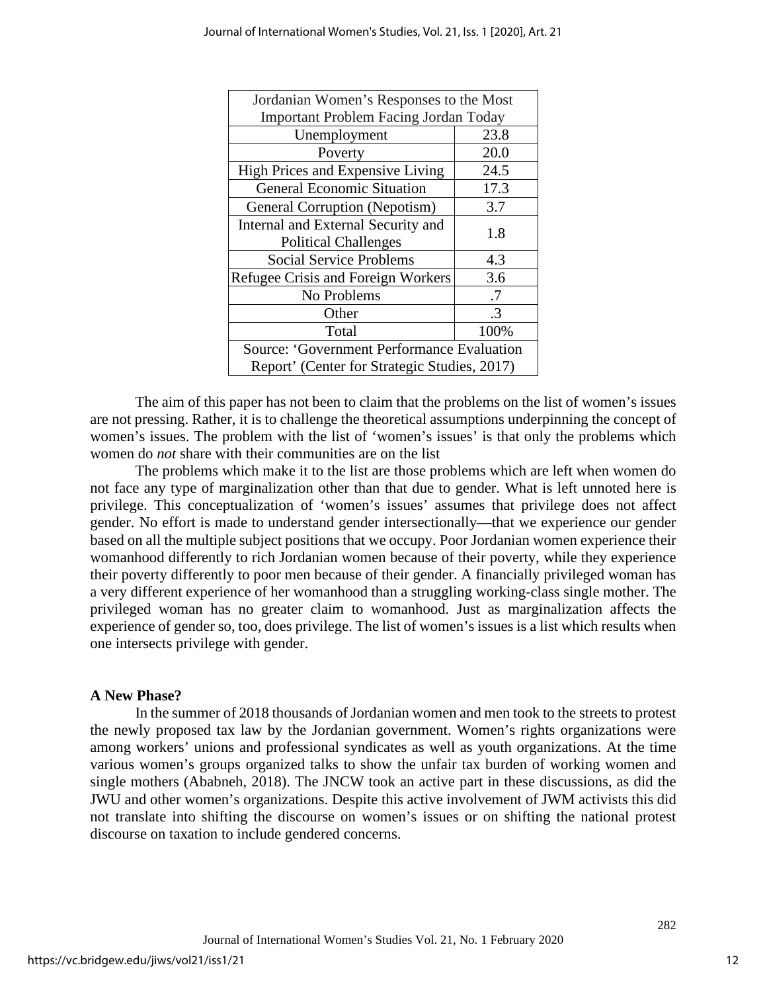| Jordanian Women's Responses to the Most      |               |
|----------------------------------------------|---------------|
| <b>Important Problem Facing Jordan Today</b> |               |
| Unemployment                                 | 23.8          |
| Poverty                                      | 20.0          |
| High Prices and Expensive Living             | 24.5          |
| <b>General Economic Situation</b>            | 17.3          |
| General Corruption (Nepotism)                | 3.7           |
| Internal and External Security and           | 1.8           |
| <b>Political Challenges</b>                  |               |
| <b>Social Service Problems</b>               | 4.3           |
| Refugee Crisis and Foreign Workers           | 3.6           |
| No Problems                                  | .7            |
| Other                                        | $\mathcal{R}$ |
| Total                                        | 100%          |
| Source: 'Government Performance Evaluation   |               |
| Report' (Center for Strategic Studies, 2017) |               |

The aim of this paper has not been to claim that the problems on the list of women's issues are not pressing. Rather, it is to challenge the theoretical assumptions underpinning the concept of women's issues. The problem with the list of 'women's issues' is that only the problems which women do *not* share with their communities are on the list

The problems which make it to the list are those problems which are left when women do not face any type of marginalization other than that due to gender. What is left unnoted here is privilege. This conceptualization of 'women's issues' assumes that privilege does not affect gender. No effort is made to understand gender intersectionally—that we experience our gender based on all the multiple subject positions that we occupy. Poor Jordanian women experience their womanhood differently to rich Jordanian women because of their poverty, while they experience their poverty differently to poor men because of their gender. A financially privileged woman has a very different experience of her womanhood than a struggling working-class single mother. The privileged woman has no greater claim to womanhood. Just as marginalization affects the experience of gender so, too, does privilege. The list of women's issues is a list which results when one intersects privilege with gender.

## **A New Phase?**

In the summer of 2018 thousands of Jordanian women and men took to the streets to protest the newly proposed tax law by the Jordanian government. Women's rights organizations were among workers' unions and professional syndicates as well as youth organizations. At the time various women's groups organized talks to show the unfair tax burden of working women and single mothers (Ababneh, 2018). The JNCW took an active part in these discussions, as did the JWU and other women's organizations. Despite this active involvement of JWM activists this did not translate into shifting the discourse on women's issues or on shifting the national protest discourse on taxation to include gendered concerns.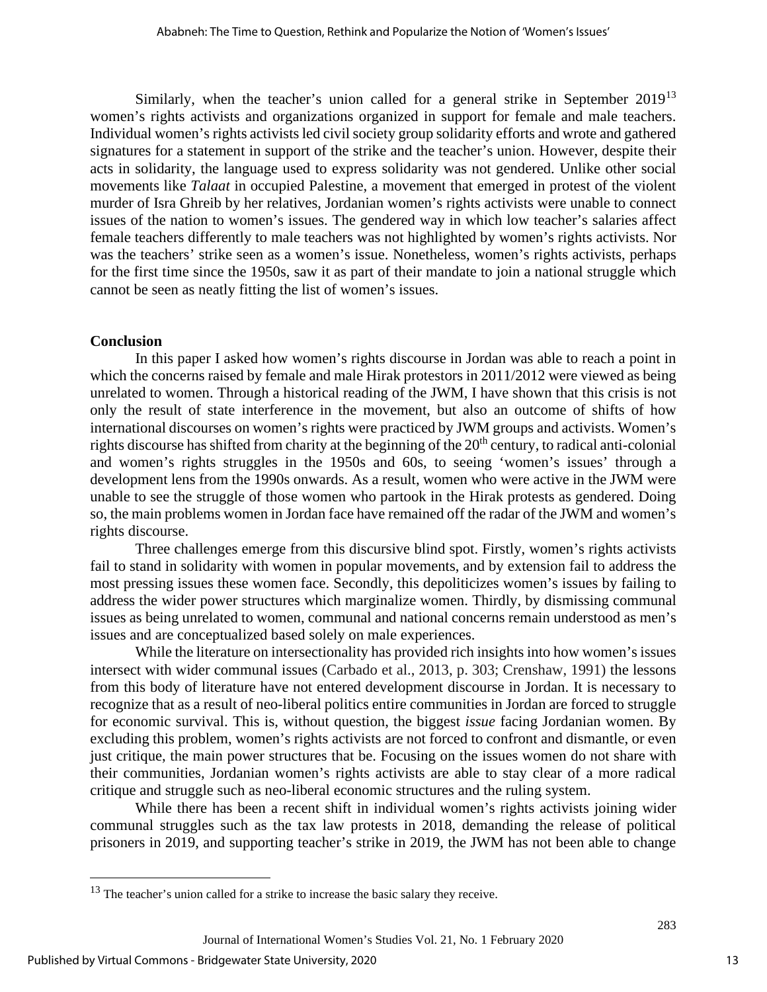Similarly, when the teacher's union called for a general strike in September  $2019^{13}$  $2019^{13}$  $2019^{13}$ women's rights activists and organizations organized in support for female and male teachers. Individual women's rights activists led civil society group solidarity efforts and wrote and gathered signatures for a statement in support of the strike and the teacher's union. However, despite their acts in solidarity, the language used to express solidarity was not gendered. Unlike other social movements like *Talaat* in occupied Palestine, a movement that emerged in protest of the violent murder of Isra Ghreib by her relatives, Jordanian women's rights activists were unable to connect issues of the nation to women's issues. The gendered way in which low teacher's salaries affect female teachers differently to male teachers was not highlighted by women's rights activists. Nor was the teachers' strike seen as a women's issue. Nonetheless, women's rights activists, perhaps for the first time since the 1950s, saw it as part of their mandate to join a national struggle which cannot be seen as neatly fitting the list of women's issues.

## **Conclusion**

In this paper I asked how women's rights discourse in Jordan was able to reach a point in which the concerns raised by female and male Hirak protestors in 2011/2012 were viewed as being unrelated to women. Through a historical reading of the JWM, I have shown that this crisis is not only the result of state interference in the movement, but also an outcome of shifts of how international discourses on women's rights were practiced by JWM groups and activists. Women's rights discourse has shifted from charity at the beginning of the  $20<sup>th</sup>$  century, to radical anti-colonial and women's rights struggles in the 1950s and 60s, to seeing 'women's issues' through a development lens from the 1990s onwards. As a result, women who were active in the JWM were unable to see the struggle of those women who partook in the Hirak protests as gendered. Doing so, the main problems women in Jordan face have remained off the radar of the JWM and women's rights discourse.

Three challenges emerge from this discursive blind spot. Firstly, women's rights activists fail to stand in solidarity with women in popular movements, and by extension fail to address the most pressing issues these women face. Secondly, this depoliticizes women's issues by failing to address the wider power structures which marginalize women. Thirdly, by dismissing communal issues as being unrelated to women, communal and national concerns remain understood as men's issues and are conceptualized based solely on male experiences.

While the literature on intersectionality has provided rich insights into how women's issues intersect with wider communal issues (Carbado et al., 2013, p. 303; Crenshaw, 1991) the lessons from this body of literature have not entered development discourse in Jordan. It is necessary to recognize that as a result of neo-liberal politics entire communities in Jordan are forced to struggle for economic survival. This is, without question, the biggest *issue* facing Jordanian women. By excluding this problem, women's rights activists are not forced to confront and dismantle, or even just critique, the main power structures that be. Focusing on the issues women do not share with their communities, Jordanian women's rights activists are able to stay clear of a more radical critique and struggle such as neo-liberal economic structures and the ruling system.

While there has been a recent shift in individual women's rights activists joining wider communal struggles such as the tax law protests in 2018, demanding the release of political prisoners in 2019, and supporting teacher's strike in 2019, the JWM has not been able to change

13

<span id="page-13-0"></span> $13$  The teacher's union called for a strike to increase the basic salary they receive.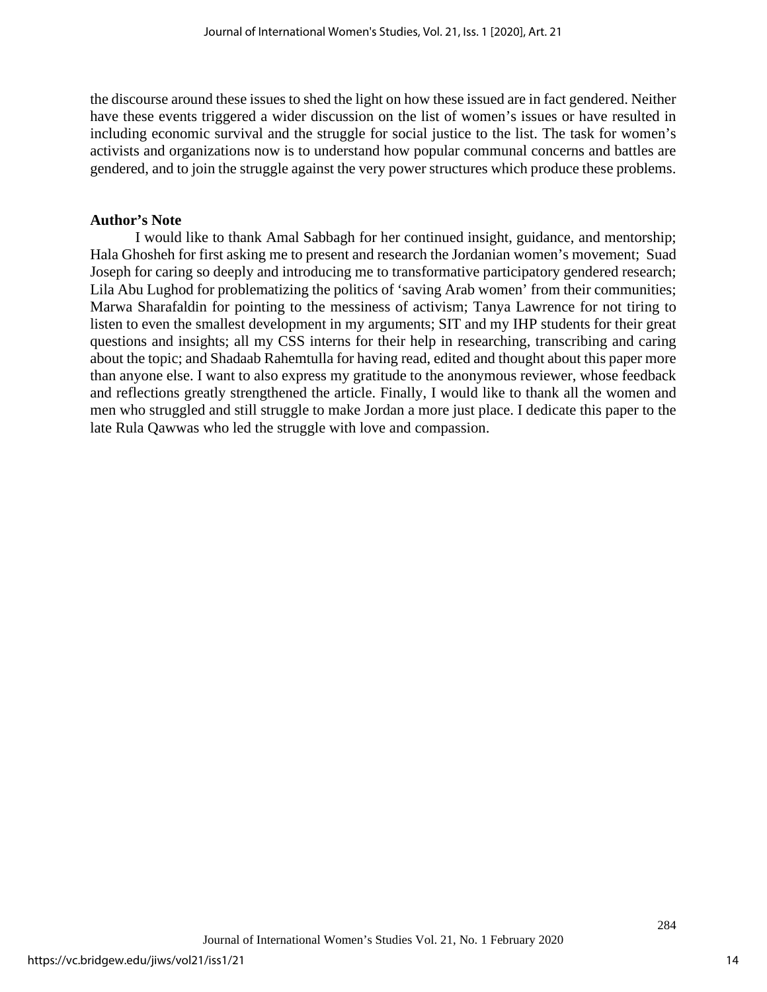the discourse around these issues to shed the light on how these issued are in fact gendered. Neither have these events triggered a wider discussion on the list of women's issues or have resulted in including economic survival and the struggle for social justice to the list. The task for women's activists and organizations now is to understand how popular communal concerns and battles are gendered, and to join the struggle against the very power structures which produce these problems.

## **Author's Note**

I would like to thank Amal Sabbagh for her continued insight, guidance, and mentorship; Hala Ghosheh for first asking me to present and research the Jordanian women's movement; Suad Joseph for caring so deeply and introducing me to transformative participatory gendered research; Lila Abu Lughod for problematizing the politics of 'saving Arab women' from their communities; Marwa Sharafaldin for pointing to the messiness of activism; Tanya Lawrence for not tiring to listen to even the smallest development in my arguments; SIT and my IHP students for their great questions and insights; all my CSS interns for their help in researching, transcribing and caring about the topic; and Shadaab Rahemtulla for having read, edited and thought about this paper more than anyone else. I want to also express my gratitude to the anonymous reviewer, whose feedback and reflections greatly strengthened the article. Finally, I would like to thank all the women and men who struggled and still struggle to make Jordan a more just place. I dedicate this paper to the late Rula Qawwas who led the struggle with love and compassion.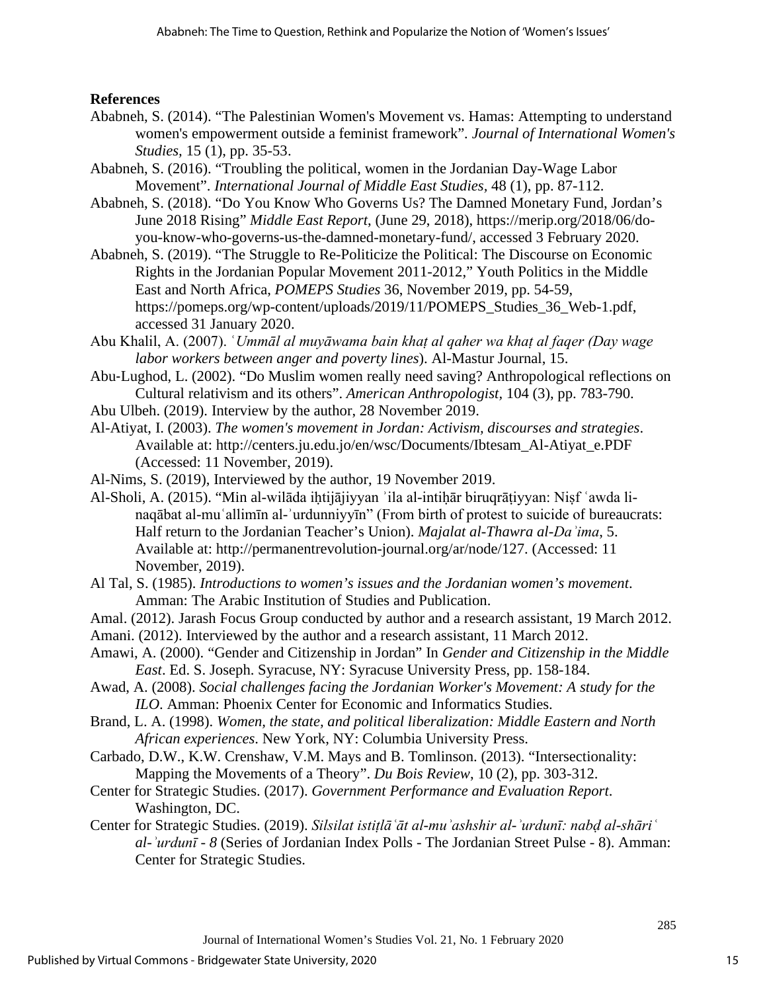## **References**

- Ababneh, S. (2014). "The Palestinian Women's Movement vs. Hamas: Attempting to understand women's empowerment outside a feminist framework"*. Journal of International Women's Studies,* 15 (1), pp. 35-53.
- Ababneh, S. (2016). "Troubling the political, women in the Jordanian Day-Wage Labor Movement". *International Journal of Middle East Studies,* 48 (1), pp. 87-112.
- Ababneh, S. (2018). "Do You Know Who Governs Us? The Damned Monetary Fund, Jordan's June 2018 Rising" *Middle East Report*, (June 29, 2018), https://merip.org/2018/06/doyou-know-who-governs-us-the-damned-monetary-fund/, accessed 3 February 2020.
- Ababneh, S. (2019). "The Struggle to Re-Politicize the Political: The Discourse on Economic Rights in the Jordanian Popular Movement 2011-2012," Youth Politics in the Middle East and North Africa, *POMEPS Studies* 36, November 2019, pp. 54-59, https://pomeps.org/wp-content/uploads/2019/11/POMEPS\_Studies\_36\_Web-1.pdf, accessed 31 January 2020.
- Abu Khalil, A. (2007). ʿ*Ummāl al muyāwama bain khaṭ al qaher wa khaṭ al faqer (Day wage labor workers between anger and poverty lines*). Al-Mastur Journal, 15.
- Abu‐Lughod, L. (2002). "Do Muslim women really need saving? Anthropological reflections on Cultural relativism and its others". *American Anthropologist,* 104 (3), pp. 783-790.
- Abu Ulbeh. (2019). Interview by the author, 28 November 2019.
- Al-Atiyat, I. (2003). *The women's movement in Jordan: Activism, discourses and strategies*. Available at: http://centers.ju.edu.jo/en/wsc/Documents/Ibtesam\_Al-Atiyat\_e.PDF (Accessed: 11 November, 2019).
- Al-Nims, S. (2019), Interviewed by the author, 19 November 2019.
- Al-Sholi, A. (2015). "Min al-wilāda iḥtijājiyyan ʾila al-intiḥār biruqrāṭiyyan: Niṣf ʿawda linaqābat al-muʿallimīn al-ʾurdunniyyīn" (From birth of protest to suicide of bureaucrats: Half return to the Jordanian Teacher's Union). *Majalat al-Thawra al-Daʾima*, 5. Available at: http://permanentrevolution-journal.org/ar/node/127. (Accessed: 11 November, 2019).
- Al Tal, S. (1985). *Introductions to women's issues and the Jordanian women's movement*. Amman: The Arabic Institution of Studies and Publication.
- Amal. (2012). Jarash Focus Group conducted by author and a research assistant, 19 March 2012.
- Amani. (2012). Interviewed by the author and a research assistant, 11 March 2012.
- Amawi, A. (2000). "Gender and Citizenship in Jordan" In *Gender and Citizenship in the Middle East*. Ed. S. Joseph. Syracuse, NY: Syracuse University Press, pp. 158-184.
- Awad, A. (2008). *Social challenges facing the Jordanian Worker's Movement: A study for the ILO*. Amman: Phoenix Center for Economic and Informatics Studies.
- Brand, L. A. (1998). *Women, the state, and political liberalization: Middle Eastern and North African experiences*. New York, NY: Columbia University Press.
- Carbado, D.W., K.W. Crenshaw, V.M. Mays and B. Tomlinson. (2013). "Intersectionality: Mapping the Movements of a Theory". *Du Bois Review*, 10 (2), pp. 303-312.
- Center for Strategic Studies. (2017). *Government Performance and Evaluation Report*. Washington, DC.
- Center for Strategic Studies. (2019). *Silsilat istiṭlāʿāt al-muʾashshir al-ʾurdunī: nabḍ al-shāriʿ al-ʾurdunī - 8* (Series of Jordanian Index Polls - The Jordanian Street Pulse - 8). Amman: Center for Strategic Studies.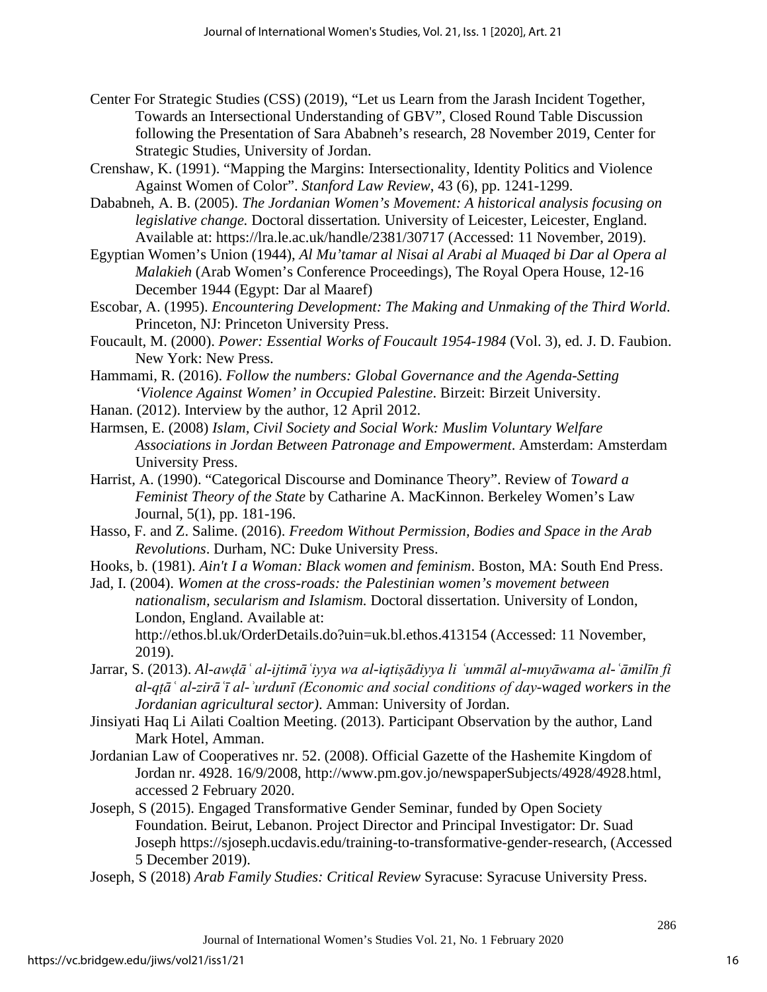- Center For Strategic Studies (CSS) (2019), "Let us Learn from the Jarash Incident Together, Towards an Intersectional Understanding of GBV", Closed Round Table Discussion following the Presentation of Sara Ababneh's research, 28 November 2019, Center for Strategic Studies, University of Jordan.
- Crenshaw, K. (1991). "Mapping the Margins: Intersectionality, Identity Politics and Violence Against Women of Color". *Stanford Law Review*, 43 (6), pp. 1241-1299.
- Dababneh, A. B. (2005). *The Jordanian Women's Movement: A historical analysis focusing on legislative change.* Doctoral dissertation*.* University of Leicester, Leicester, England. Available at: https://lra.le.ac.uk/handle/2381/30717 (Accessed: 11 November, 2019).
- Egyptian Women's Union (1944), *Al Mu'tamar al Nisai al Arabi al Muaqed bi Dar al Opera al Malakieh* (Arab Women's Conference Proceedings), The Royal Opera House, 12-16 December 1944 (Egypt: Dar al Maaref)
- Escobar, A. (1995). *Encountering Development: The Making and Unmaking of the Third World*. Princeton, NJ: Princeton University Press.
- Foucault, M. (2000). *Power: Essential Works of Foucault 1954-1984* (Vol. 3), ed. J. D. Faubion. New York: New Press.
- Hammami, R. (2016). *Follow the numbers: Global Governance and the Agenda-Setting 'Violence Against Women' in Occupied Palestine*. Birzeit: Birzeit University.
- Hanan. (2012). Interview by the author, 12 April 2012.
- Harmsen, E. (2008) *Islam, Civil Society and Social Work: Muslim Voluntary Welfare Associations in Jordan Between Patronage and Empowerment*. Amsterdam: Amsterdam University Press.
- Harrist, A. (1990). "Categorical Discourse and Dominance Theory". Review of *Toward a Feminist Theory of the State* by Catharine A. MacKinnon. Berkeley Women's Law Journal, 5(1), pp. 181-196.
- Hasso, F. and Z. Salime. (2016). *Freedom Without Permission, Bodies and Space in the Arab Revolutions*. Durham, NC: Duke University Press.
- Hooks, b. (1981). *Ain't I a Woman: Black women and feminism*. Boston, MA: South End Press.
- Jad, I. (2004). *Women at the cross-roads: the Palestinian women's movement between nationalism, secularism and Islamism.* Doctoral dissertation. University of London, London, England. Available at:
	- http://ethos.bl.uk/OrderDetails.do?uin=uk.bl.ethos.413154 (Accessed: 11 November, 2019).
- Jarrar, S. (2013). *Al-awḍāʿ al-ijtimāʿiyya wa al-iqtiṣādiyya li ʿummāl al-muyāwama al-ʿāmilīn fi al-qṭāʿ al-zirāʿī al-ʾurdunī (Economic and social conditions of day-waged workers in the Jordanian agricultural sector)*. Amman: University of Jordan.
- Jinsiyati Haq Li Ailati Coaltion Meeting. (2013). Participant Observation by the author, Land Mark Hotel, Amman.
- Jordanian Law of Cooperatives nr. 52. (2008). Official Gazette of the Hashemite Kingdom of Jordan nr. 4928. 16/9/2008, [http://www.pm.gov.jo/newspaperSubjects/4928/4928.html,](http://www.pm.gov.jo/newspaperSubjects/4928/4928.html) accessed 2 February 2020.
- Joseph, S (2015). Engaged Transformative Gender Seminar, funded by Open Society Foundation. Beirut, Lebanon. Project Director and Principal Investigator: Dr. Suad Joseph https://sjoseph.ucdavis.edu/training-to-transformative-gender-research, (Accessed 5 December 2019).
- Joseph, S (2018) *Arab Family Studies: Critical Review* Syracuse: Syracuse University Press.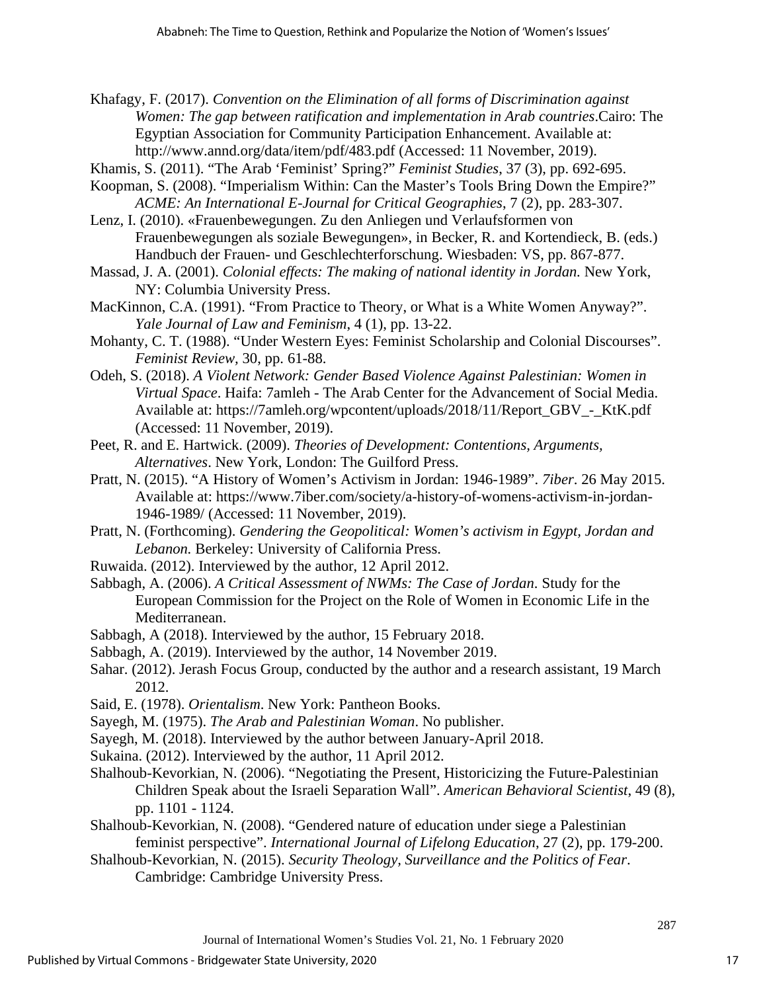Khafagy, F. (2017). *Convention on the Elimination of all forms of Discrimination against Women: The gap between ratification and implementation in Arab countries*.Cairo: The Egyptian Association for Community Participation Enhancement. Available at: http://www.annd.org/data/item/pdf/483.pdf (Accessed: 11 November, 2019).

- Khamis, S. (2011). "The Arab 'Feminist' Spring?" *Feminist Studies*, 37 (3), pp. 692-695.
- Koopman, S. (2008). "Imperialism Within: Can the Master's Tools Bring Down the Empire?" *ACME: An International E-Journal for Critical Geographies*, 7 (2), pp. 283-307.
- Lenz, I. (2010). «Frauenbewegungen. Zu den Anliegen und Verlaufsformen von Frauenbewegungen als soziale Bewegungen», in Becker, R. and Kortendieck, B. (eds.) Handbuch der Frauen- und Geschlechterforschung. Wiesbaden: VS, pp. 867-877.
- Massad, J. A. (2001). *Colonial effects: The making of national identity in Jordan.* New York, NY: Columbia University Press.
- MacKinnon, C.A. (1991). "From Practice to Theory, or What is a White Women Anyway?". *Yale Journal of Law and Feminism*, 4 (1), pp. 13-22.
- Mohanty, C. T. (1988). "Under Western Eyes: Feminist Scholarship and Colonial Discourses". *Feminist Review,* 30, pp. 61-88.
- Odeh, S. (2018). *A Violent Network: Gender Based Violence Against Palestinian: Women in Virtual Space*. Haifa: 7amleh - The Arab Center for the Advancement of Social Media. Available at: https://7amleh.org/wpcontent/uploads/2018/11/Report\_GBV\_-\_KtK.pdf (Accessed: 11 November, 2019).
- Peet, R. and E. Hartwick. (2009). *Theories of Development: Contentions, Arguments, Alternatives*. New York, London: The Guilford Press.
- Pratt, N. (2015). "A History of Women's Activism in Jordan: 1946-1989". *7iber*. 26 May 2015. Available at: https://www.7iber.com/society/a-history-of-womens-activism-in-jordan-1946-1989/ (Accessed: 11 November, 2019).
- Pratt, N. (Forthcoming). *Gendering the Geopolitical: Women's activism in Egypt, Jordan and Lebanon.* Berkeley: University of California Press.
- Ruwaida. (2012). Interviewed by the author, 12 April 2012.
- Sabbagh, A. (2006). *A Critical Assessment of NWMs: The Case of Jordan*. Study for the European Commission for the Project on the Role of Women in Economic Life in the Mediterranean.
- Sabbagh, A (2018). Interviewed by the author, 15 February 2018.
- Sabbagh, A. (2019). Interviewed by the author, 14 November 2019.
- Sahar. (2012). Jerash Focus Group, conducted by the author and a research assistant, 19 March 2012.
- Said, E. (1978). *Orientalism*. New York: Pantheon Books.
- Sayegh, M. (1975). *The Arab and Palestinian Woman*. No publisher.

Sayegh, M. (2018). Interviewed by the author between January-April 2018.

Sukaina. (2012). Interviewed by the author, 11 April 2012.

- Shalhoub-Kevorkian, N. (2006). "Negotiating the Present, Historicizing the Future-Palestinian Children Speak about the Israeli Separation Wall". *American Behavioral Scientist*, 49 (8), pp. 1101 - 1124.
- Shalhoub-Kevorkian, N. (2008). "Gendered nature of education under siege a Palestinian feminist perspective". *International Journal of Lifelong Education*, 27 (2), pp. 179-200.
- Shalhoub-Kevorkian, N. (2015). *Security Theology, Surveillance and the Politics of Fear*. Cambridge: Cambridge University Press.